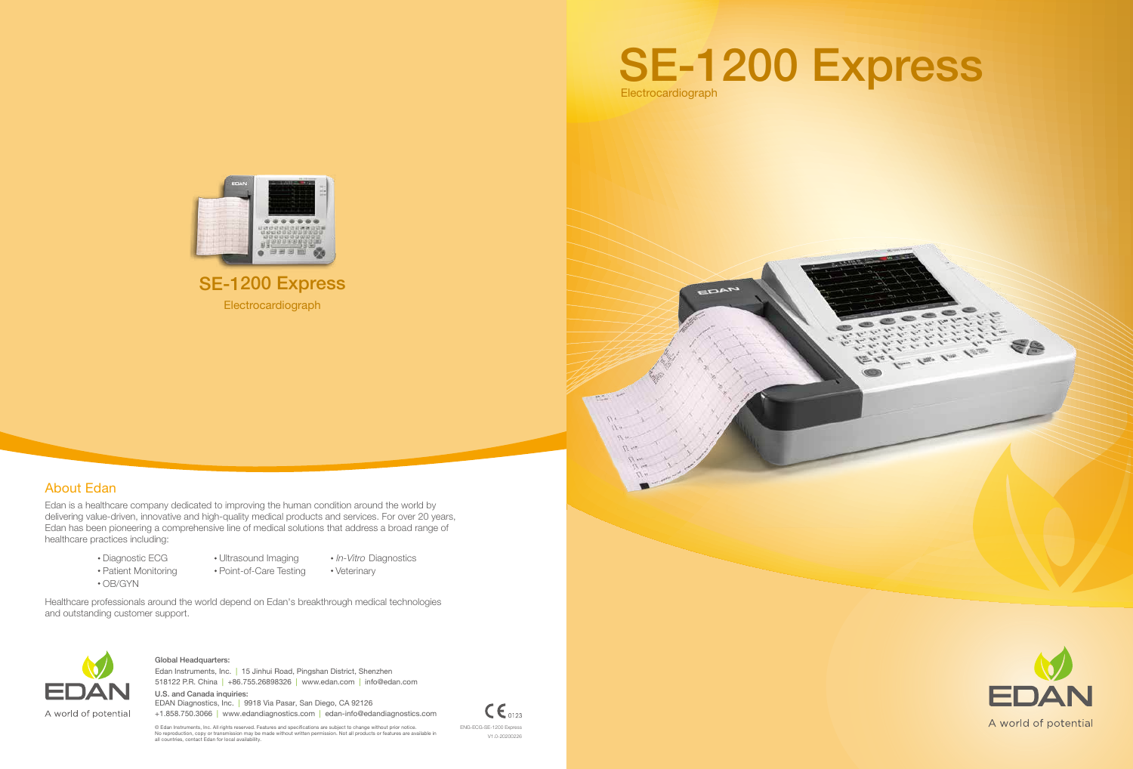**Electrocardiograph** SE-1200 Express



ENG-ECG-SE-1200 Express V1.0-20200226



E &





# About Edan

Edan is a healthcare company dedicated to improving the human condition around the world by delivering value-driven, innovative and high-quality medical products and services. For over 20 years, Edan has been pioneering a comprehensive line of medical solutions that address a broad range of healthcare practices including:

> Diagnostic ECG • Patient Monitoring

- Ultrasound Imaging Point-of-Care Testing
	-
- *In-Vitro* Diagnostics Veterinary

518122 P.R. China | +86.755.26898326 | www.edan.com | info@edan.com Edan Instruments, Inc. | 15 Jinhui Road, Pingshan District, Shenzhen

Healthcare professionals around the world depend on Edan's breakthrough medical technologies and outstanding customer support.



OB/GYN

#### Global Headquarters:

U.S. and Canada inquiries: EDAN Diagnostics, Inc. | 9918 Via Pasar, San Diego, CA 92126 +1.858.750.3066 | www.edandiagnostics.com | edan-info@edandiagnostics.com

 $\mathsf{CE}_{0123}$ 

© Edan Instruments, Inc. All rights reserved. Features and specifications are subject to change without prior notice.<br>No reproduction, copy or transmission may be made without written permission. Not all products or featur